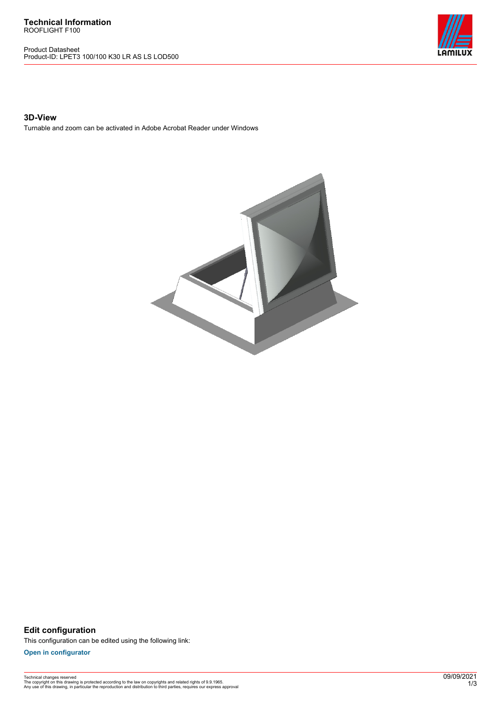Product Datasheet Product-ID: LPET3 100/100 K30 LR AS LS LOD500



## **3D-View**

Turnable and zoom can be activated in Adobe Acrobat Reader under Windows



**Edit configuration** This configuration can be edited using the following link:

**[Open in configurator](https://bimconfig.lamilux.com//?quickcode=XYIXQT)**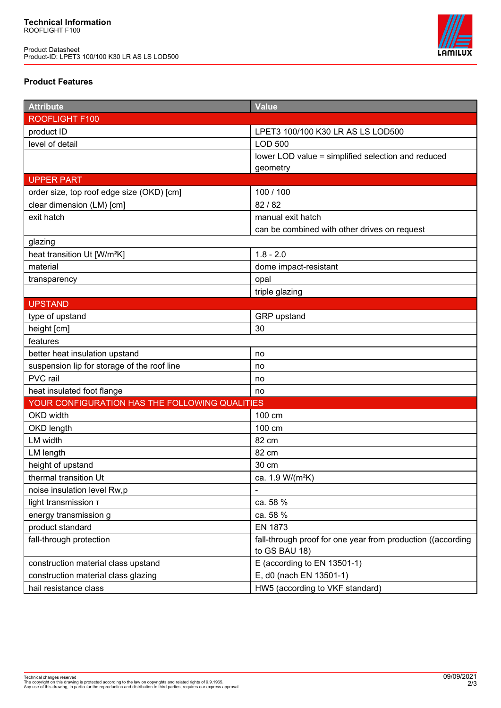Product Datasheet Product-ID: LPET3 100/100 K30 LR AS LS LOD500



## **Product Features**

| <b>Attribute</b>                               | <b>Value</b>                                                |
|------------------------------------------------|-------------------------------------------------------------|
| ROOFLIGHT F100                                 |                                                             |
| product ID                                     | LPET3 100/100 K30 LR AS LS LOD500                           |
| level of detail                                | <b>LOD 500</b>                                              |
|                                                | lower LOD value = simplified selection and reduced          |
|                                                | geometry                                                    |
| <b>UPPER PART</b>                              |                                                             |
| order size, top roof edge size (OKD) [cm]      | 100 / 100                                                   |
| clear dimension (LM) [cm]                      | 82 / 82                                                     |
| exit hatch                                     | manual exit hatch                                           |
|                                                | can be combined with other drives on request                |
| glazing                                        |                                                             |
| heat transition Ut [W/m <sup>2</sup> K]        | $1.8 - 2.0$                                                 |
| material                                       | dome impact-resistant                                       |
| transparency                                   | opal                                                        |
|                                                | triple glazing                                              |
| <b>UPSTAND</b>                                 |                                                             |
| type of upstand                                | GRP upstand                                                 |
| height [cm]                                    | 30                                                          |
| features                                       |                                                             |
| better heat insulation upstand                 | no                                                          |
| suspension lip for storage of the roof line    | no                                                          |
| PVC rail                                       | no                                                          |
| heat insulated foot flange                     | no                                                          |
| YOUR CONFIGURATION HAS THE FOLLOWING QUALITIES |                                                             |
| OKD width                                      | 100 cm                                                      |
| OKD length                                     | 100 cm                                                      |
| LM width                                       | 82 cm                                                       |
| LM length                                      | 82 cm                                                       |
| height of upstand                              | 30 cm                                                       |
| thermal transition Ut                          | ca. 1.9 W/(m <sup>2</sup> K)                                |
| noise insulation level Rw,p                    |                                                             |
| light transmission T                           | ca. 58 %                                                    |
| energy transmission g                          | ca. 58 %                                                    |
| product standard                               | <b>EN 1873</b>                                              |
| fall-through protection                        | fall-through proof for one year from production ((according |
|                                                | to GS BAU 18)                                               |
| construction material class upstand            | E (according to EN 13501-1)                                 |
| construction material class glazing            | E, d0 (nach EN 13501-1)                                     |
| hail resistance class                          | HW5 (according to VKF standard)                             |